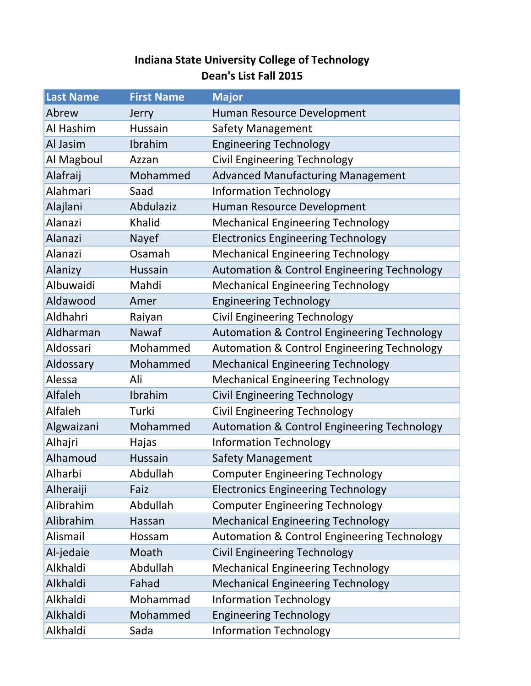## **Indiana State University College of Technology Dean's List Fall 2015**

| <b>Last Name</b> | <b>First Name</b> | <b>Major</b>                                           |
|------------------|-------------------|--------------------------------------------------------|
| Abrew            | Jerry             | Human Resource Development                             |
| Al Hashim        | Hussain           | <b>Safety Management</b>                               |
| Al Jasim         | Ibrahim           | <b>Engineering Technology</b>                          |
| Al Magboul       | Azzan             | <b>Civil Engineering Technology</b>                    |
| Alafraij         | Mohammed          | <b>Advanced Manufacturing Management</b>               |
| Alahmari         | Saad              | <b>Information Technology</b>                          |
| Alajlani         | Abdulaziz         | Human Resource Development                             |
| Alanazi          | Khalid            | <b>Mechanical Engineering Technology</b>               |
| Alanazi          | Nayef             | <b>Electronics Engineering Technology</b>              |
| Alanazi          | Osamah            | <b>Mechanical Engineering Technology</b>               |
| Alanizy          | Hussain           | <b>Automation &amp; Control Engineering Technology</b> |
| Albuwaidi        | Mahdi             | <b>Mechanical Engineering Technology</b>               |
| Aldawood         | Amer              | <b>Engineering Technology</b>                          |
| Aldhahri         | Raiyan            | <b>Civil Engineering Technology</b>                    |
| Aldharman        | Nawaf             | Automation & Control Engineering Technology            |
| Aldossari        | Mohammed          | <b>Automation &amp; Control Engineering Technology</b> |
| Aldossary        | Mohammed          | <b>Mechanical Engineering Technology</b>               |
| Alessa           | Ali               | <b>Mechanical Engineering Technology</b>               |
| Alfaleh          | Ibrahim           | <b>Civil Engineering Technology</b>                    |
| Alfaleh          | Turki             | <b>Civil Engineering Technology</b>                    |
| Algwaizani       | Mohammed          | <b>Automation &amp; Control Engineering Technology</b> |
| Alhajri          | Hajas             | <b>Information Technology</b>                          |
| Alhamoud         | Hussain           | <b>Safety Management</b>                               |
| Alharbi          | Abdullah          | <b>Computer Engineering Technology</b>                 |
| Alheraiji        | Faiz              | <b>Electronics Engineering Technology</b>              |
| Alibrahim        | Abdullah          | <b>Computer Engineering Technology</b>                 |
| Alibrahim        | Hassan            | <b>Mechanical Engineering Technology</b>               |
| Alismail         | Hossam            | <b>Automation &amp; Control Engineering Technology</b> |
| Al-jedaie        | Moath             | <b>Civil Engineering Technology</b>                    |
| Alkhaldi         | Abdullah          | <b>Mechanical Engineering Technology</b>               |
| Alkhaldi         | Fahad             | <b>Mechanical Engineering Technology</b>               |
| Alkhaldi         | Mohammad          | <b>Information Technology</b>                          |
| Alkhaldi         | Mohammed          | <b>Engineering Technology</b>                          |
| Alkhaldi         | Sada              | <b>Information Technology</b>                          |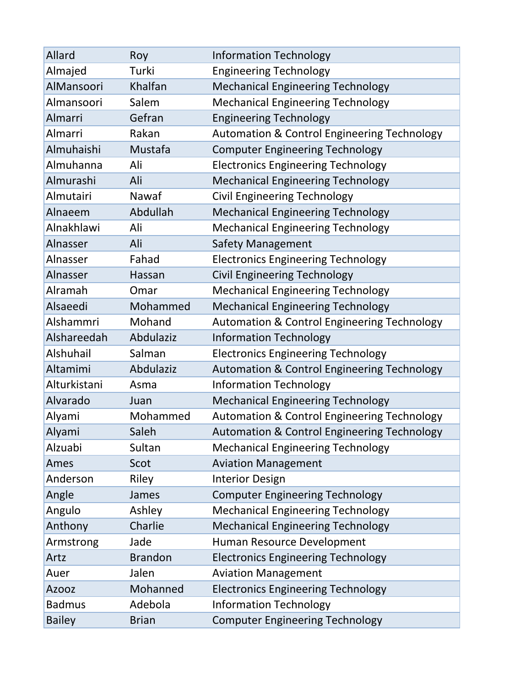| Allard        | Roy            | <b>Information Technology</b>                          |
|---------------|----------------|--------------------------------------------------------|
| Almajed       | Turki          | <b>Engineering Technology</b>                          |
| AlMansoori    | Khalfan        | <b>Mechanical Engineering Technology</b>               |
| Almansoori    | Salem          | <b>Mechanical Engineering Technology</b>               |
| Almarri       | Gefran         | <b>Engineering Technology</b>                          |
| Almarri       | Rakan          | <b>Automation &amp; Control Engineering Technology</b> |
| Almuhaishi    | Mustafa        | <b>Computer Engineering Technology</b>                 |
| Almuhanna     | Ali            | <b>Electronics Engineering Technology</b>              |
| Almurashi     | Ali            | <b>Mechanical Engineering Technology</b>               |
| Almutairi     | Nawaf          | <b>Civil Engineering Technology</b>                    |
| Alnaeem       | Abdullah       | <b>Mechanical Engineering Technology</b>               |
| Alnakhlawi    | Ali            | <b>Mechanical Engineering Technology</b>               |
| Alnasser      | Ali            | <b>Safety Management</b>                               |
| Alnasser      | Fahad          | <b>Electronics Engineering Technology</b>              |
| Alnasser      | Hassan         | <b>Civil Engineering Technology</b>                    |
| Alramah       | Omar           | <b>Mechanical Engineering Technology</b>               |
| Alsaeedi      | Mohammed       | <b>Mechanical Engineering Technology</b>               |
| Alshammri     | Mohand         | <b>Automation &amp; Control Engineering Technology</b> |
| Alshareedah   | Abdulaziz      | <b>Information Technology</b>                          |
| Alshuhail     | Salman         | <b>Electronics Engineering Technology</b>              |
| Altamimi      | Abdulaziz      | <b>Automation &amp; Control Engineering Technology</b> |
| Alturkistani  | Asma           | <b>Information Technology</b>                          |
| Alvarado      | Juan           | <b>Mechanical Engineering Technology</b>               |
| Alyami        | Mohammed       | <b>Automation &amp; Control Engineering Technology</b> |
| Alyami        | Saleh          | <b>Automation &amp; Control Engineering Technology</b> |
| Alzuabi       | Sultan         | <b>Mechanical Engineering Technology</b>               |
| Ames          | Scot           | <b>Aviation Management</b>                             |
| Anderson      | Riley          | <b>Interior Design</b>                                 |
| Angle         | James          | <b>Computer Engineering Technology</b>                 |
| Angulo        | Ashley         | <b>Mechanical Engineering Technology</b>               |
| Anthony       | Charlie        | <b>Mechanical Engineering Technology</b>               |
| Armstrong     | Jade           | Human Resource Development                             |
| Artz          | <b>Brandon</b> | <b>Electronics Engineering Technology</b>              |
| Auer          | Jalen          | <b>Aviation Management</b>                             |
| <b>Azooz</b>  | Mohanned       | <b>Electronics Engineering Technology</b>              |
| <b>Badmus</b> | Adebola        | <b>Information Technology</b>                          |
| <b>Bailey</b> | <b>Brian</b>   | <b>Computer Engineering Technology</b>                 |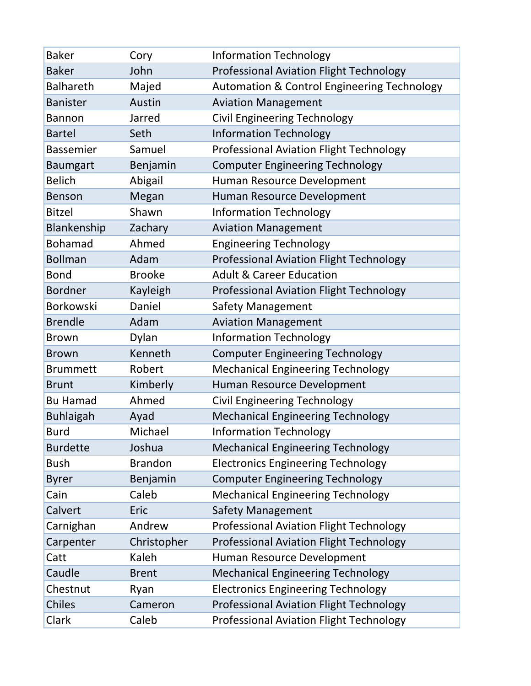| <b>Baker</b>     | Cory           | <b>Information Technology</b>                          |
|------------------|----------------|--------------------------------------------------------|
| <b>Baker</b>     | John           | <b>Professional Aviation Flight Technology</b>         |
| <b>Balhareth</b> | Majed          | <b>Automation &amp; Control Engineering Technology</b> |
| <b>Banister</b>  | Austin         | <b>Aviation Management</b>                             |
| <b>Bannon</b>    | Jarred         | <b>Civil Engineering Technology</b>                    |
| <b>Bartel</b>    | Seth           | <b>Information Technology</b>                          |
| <b>Bassemier</b> | Samuel         | Professional Aviation Flight Technology                |
| <b>Baumgart</b>  | Benjamin       | <b>Computer Engineering Technology</b>                 |
| <b>Belich</b>    | Abigail        | Human Resource Development                             |
| <b>Benson</b>    | Megan          | Human Resource Development                             |
| <b>Bitzel</b>    | Shawn          | <b>Information Technology</b>                          |
| Blankenship      | Zachary        | <b>Aviation Management</b>                             |
| <b>Bohamad</b>   | Ahmed          | <b>Engineering Technology</b>                          |
| <b>Bollman</b>   | Adam           | <b>Professional Aviation Flight Technology</b>         |
| <b>Bond</b>      | <b>Brooke</b>  | <b>Adult &amp; Career Education</b>                    |
| <b>Bordner</b>   | Kayleigh       | <b>Professional Aviation Flight Technology</b>         |
| <b>Borkowski</b> | Daniel         | <b>Safety Management</b>                               |
| <b>Brendle</b>   | Adam           | <b>Aviation Management</b>                             |
| <b>Brown</b>     | Dylan          | <b>Information Technology</b>                          |
| <b>Brown</b>     | Kenneth        | <b>Computer Engineering Technology</b>                 |
| <b>Brummett</b>  | Robert         | <b>Mechanical Engineering Technology</b>               |
| <b>Brunt</b>     | Kimberly       | Human Resource Development                             |
| <b>Bu Hamad</b>  | Ahmed          | <b>Civil Engineering Technology</b>                    |
| <b>Buhlaigah</b> | Ayad           | <b>Mechanical Engineering Technology</b>               |
| <b>Burd</b>      | Michael        | <b>Information Technology</b>                          |
| <b>Burdette</b>  | Joshua         | <b>Mechanical Engineering Technology</b>               |
| <b>Bush</b>      | <b>Brandon</b> | <b>Electronics Engineering Technology</b>              |
| <b>Byrer</b>     | Benjamin       | <b>Computer Engineering Technology</b>                 |
| Cain             | Caleb          | <b>Mechanical Engineering Technology</b>               |
| Calvert          | Eric           | <b>Safety Management</b>                               |
| Carnighan        | Andrew         | <b>Professional Aviation Flight Technology</b>         |
| Carpenter        | Christopher    | <b>Professional Aviation Flight Technology</b>         |
| Catt             | Kaleh          | Human Resource Development                             |
| Caudle           | <b>Brent</b>   | <b>Mechanical Engineering Technology</b>               |
| Chestnut         | Ryan           | <b>Electronics Engineering Technology</b>              |
| <b>Chiles</b>    | Cameron        | <b>Professional Aviation Flight Technology</b>         |
| Clark            | Caleb          | <b>Professional Aviation Flight Technology</b>         |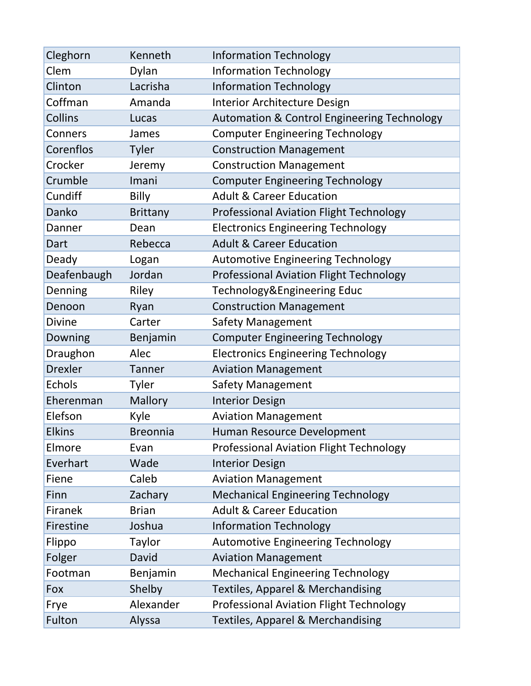| Cleghorn       | Kenneth         | <b>Information Technology</b>                          |
|----------------|-----------------|--------------------------------------------------------|
| Clem           | Dylan           | <b>Information Technology</b>                          |
| Clinton        | Lacrisha        | <b>Information Technology</b>                          |
| Coffman        | Amanda          | <b>Interior Architecture Design</b>                    |
| Collins        | Lucas           | <b>Automation &amp; Control Engineering Technology</b> |
| Conners        | James           | <b>Computer Engineering Technology</b>                 |
| Corenflos      | <b>Tyler</b>    | <b>Construction Management</b>                         |
| Crocker        | Jeremy          | <b>Construction Management</b>                         |
| Crumble        | Imani           | <b>Computer Engineering Technology</b>                 |
| Cundiff        | Billy           | <b>Adult &amp; Career Education</b>                    |
| Danko          | <b>Brittany</b> | <b>Professional Aviation Flight Technology</b>         |
| Danner         | Dean            | <b>Electronics Engineering Technology</b>              |
| Dart           | Rebecca         | <b>Adult &amp; Career Education</b>                    |
| Deady          | Logan           | <b>Automotive Engineering Technology</b>               |
| Deafenbaugh    | Jordan          | <b>Professional Aviation Flight Technology</b>         |
| Denning        | Riley           | Technology&Engineering Educ                            |
| Denoon         | Ryan            | <b>Construction Management</b>                         |
| <b>Divine</b>  | Carter          | Safety Management                                      |
| Downing        | Benjamin        | <b>Computer Engineering Technology</b>                 |
| Draughon       | Alec            | <b>Electronics Engineering Technology</b>              |
| <b>Drexler</b> | <b>Tanner</b>   | <b>Aviation Management</b>                             |
| Echols         | Tyler           | <b>Safety Management</b>                               |
| Eherenman      | <b>Mallory</b>  | <b>Interior Design</b>                                 |
| Elefson        | Kyle            | <b>Aviation Management</b>                             |
| <b>Elkins</b>  | <b>Breonnia</b> | Human Resource Development                             |
| Elmore         | Evan            | <b>Professional Aviation Flight Technology</b>         |
| Everhart       | Wade            | <b>Interior Design</b>                                 |
| Fiene          | Caleb           | <b>Aviation Management</b>                             |
| Finn           | Zachary         | <b>Mechanical Engineering Technology</b>               |
| Firanek        | <b>Brian</b>    | <b>Adult &amp; Career Education</b>                    |
| Firestine      | Joshua          | <b>Information Technology</b>                          |
| Flippo         | Taylor          | <b>Automotive Engineering Technology</b>               |
| Folger         | David           | <b>Aviation Management</b>                             |
| Footman        | Benjamin        | <b>Mechanical Engineering Technology</b>               |
| Fox            | Shelby          | <b>Textiles, Apparel &amp; Merchandising</b>           |
| Frye           | Alexander       | <b>Professional Aviation Flight Technology</b>         |
| Fulton         | Alyssa          | <b>Textiles, Apparel &amp; Merchandising</b>           |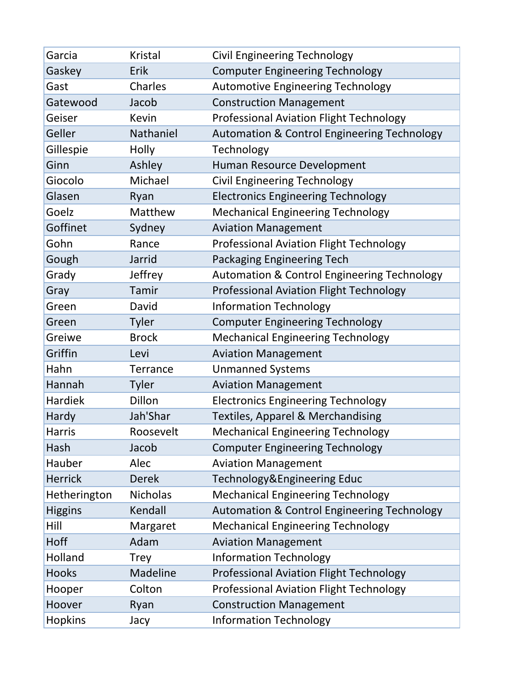| Garcia         | <b>Kristal</b>  | <b>Civil Engineering Technology</b>                    |
|----------------|-----------------|--------------------------------------------------------|
| Gaskey         | Erik            | <b>Computer Engineering Technology</b>                 |
| Gast           | Charles         | <b>Automotive Engineering Technology</b>               |
| Gatewood       | Jacob           | <b>Construction Management</b>                         |
| Geiser         | Kevin           | <b>Professional Aviation Flight Technology</b>         |
| Geller         | Nathaniel       | <b>Automation &amp; Control Engineering Technology</b> |
| Gillespie      | Holly           | Technology                                             |
| Ginn           | Ashley          | Human Resource Development                             |
| Giocolo        | Michael         | <b>Civil Engineering Technology</b>                    |
| Glasen         | Ryan            | <b>Electronics Engineering Technology</b>              |
| Goelz          | Matthew         | <b>Mechanical Engineering Technology</b>               |
| Goffinet       | Sydney          | <b>Aviation Management</b>                             |
| Gohn           | Rance           | <b>Professional Aviation Flight Technology</b>         |
| Gough          | Jarrid          | Packaging Engineering Tech                             |
| Grady          | Jeffrey         | <b>Automation &amp; Control Engineering Technology</b> |
| Gray           | Tamir           | <b>Professional Aviation Flight Technology</b>         |
| Green          | David           | <b>Information Technology</b>                          |
| Green          | <b>Tyler</b>    | <b>Computer Engineering Technology</b>                 |
| Greiwe         | <b>Brock</b>    | <b>Mechanical Engineering Technology</b>               |
| Griffin        | Levi            | <b>Aviation Management</b>                             |
| Hahn           | <b>Terrance</b> | <b>Unmanned Systems</b>                                |
| Hannah         | <b>Tyler</b>    | <b>Aviation Management</b>                             |
| Hardiek        | Dillon          | <b>Electronics Engineering Technology</b>              |
| Hardy          | Jah'Shar        | <b>Textiles, Apparel &amp; Merchandising</b>           |
| <b>Harris</b>  | Roosevelt       | <b>Mechanical Engineering Technology</b>               |
| Hash           | Jacob           | <b>Computer Engineering Technology</b>                 |
| Hauber         | Alec            | <b>Aviation Management</b>                             |
| <b>Herrick</b> | <b>Derek</b>    | Technology&Engineering Educ                            |
| Hetherington   | <b>Nicholas</b> | <b>Mechanical Engineering Technology</b>               |
| <b>Higgins</b> | Kendall         | <b>Automation &amp; Control Engineering Technology</b> |
| Hill           | Margaret        | <b>Mechanical Engineering Technology</b>               |
| Hoff           | Adam            | <b>Aviation Management</b>                             |
| Holland        | <b>Trey</b>     | <b>Information Technology</b>                          |
| <b>Hooks</b>   | Madeline        | <b>Professional Aviation Flight Technology</b>         |
| Hooper         | Colton          | <b>Professional Aviation Flight Technology</b>         |
| Hoover         | Ryan            | <b>Construction Management</b>                         |
| <b>Hopkins</b> | Jacy            | <b>Information Technology</b>                          |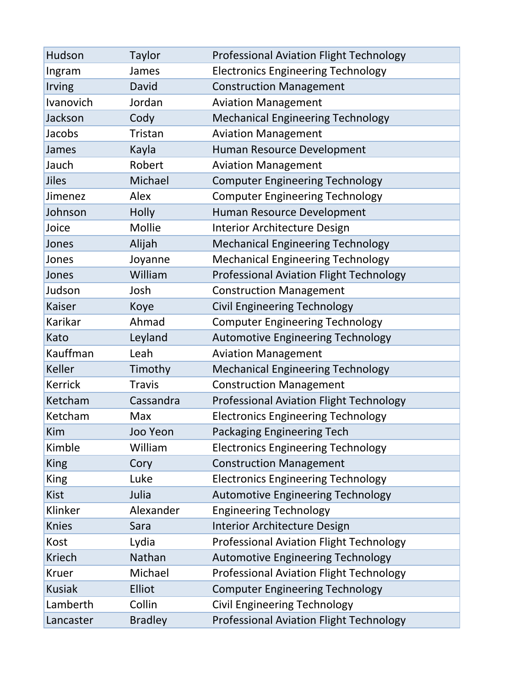| Hudson         | <b>Taylor</b>  | <b>Professional Aviation Flight Technology</b> |
|----------------|----------------|------------------------------------------------|
| Ingram         | James          | <b>Electronics Engineering Technology</b>      |
| Irving         | David          | <b>Construction Management</b>                 |
| Ivanovich      | Jordan         | <b>Aviation Management</b>                     |
| Jackson        | Cody           | <b>Mechanical Engineering Technology</b>       |
| Jacobs         | Tristan        | <b>Aviation Management</b>                     |
| James          | Kayla          | Human Resource Development                     |
| Jauch          | Robert         | <b>Aviation Management</b>                     |
| Jiles          | Michael        | <b>Computer Engineering Technology</b>         |
| Jimenez        | Alex           | <b>Computer Engineering Technology</b>         |
| Johnson        | Holly          | Human Resource Development                     |
| Joice          | Mollie         | Interior Architecture Design                   |
| Jones          | Alijah         | <b>Mechanical Engineering Technology</b>       |
| Jones          | Joyanne        | <b>Mechanical Engineering Technology</b>       |
| Jones          | William        | <b>Professional Aviation Flight Technology</b> |
| Judson         | Josh           | <b>Construction Management</b>                 |
| Kaiser         | Koye           | <b>Civil Engineering Technology</b>            |
| Karikar        | Ahmad          | <b>Computer Engineering Technology</b>         |
| Kato           | Leyland        | <b>Automotive Engineering Technology</b>       |
| Kauffman       | Leah           | <b>Aviation Management</b>                     |
| <b>Keller</b>  | Timothy        | <b>Mechanical Engineering Technology</b>       |
| <b>Kerrick</b> | <b>Travis</b>  | <b>Construction Management</b>                 |
| Ketcham        | Cassandra      | <b>Professional Aviation Flight Technology</b> |
| Ketcham        | Max            | <b>Electronics Engineering Technology</b>      |
| Kim            | Joo Yeon       | <b>Packaging Engineering Tech</b>              |
| Kimble         | William        | <b>Electronics Engineering Technology</b>      |
| <b>King</b>    | Cory           | <b>Construction Management</b>                 |
| <b>King</b>    | Luke           | <b>Electronics Engineering Technology</b>      |
| <b>Kist</b>    | Julia          | <b>Automotive Engineering Technology</b>       |
| Klinker        | Alexander      | <b>Engineering Technology</b>                  |
| <b>Knies</b>   | Sara           | <b>Interior Architecture Design</b>            |
| Kost           | Lydia          | <b>Professional Aviation Flight Technology</b> |
| <b>Kriech</b>  | Nathan         | <b>Automotive Engineering Technology</b>       |
| <b>Kruer</b>   | Michael        | <b>Professional Aviation Flight Technology</b> |
| <b>Kusiak</b>  | Elliot         | <b>Computer Engineering Technology</b>         |
| Lamberth       | Collin         | <b>Civil Engineering Technology</b>            |
| Lancaster      | <b>Bradley</b> | <b>Professional Aviation Flight Technology</b> |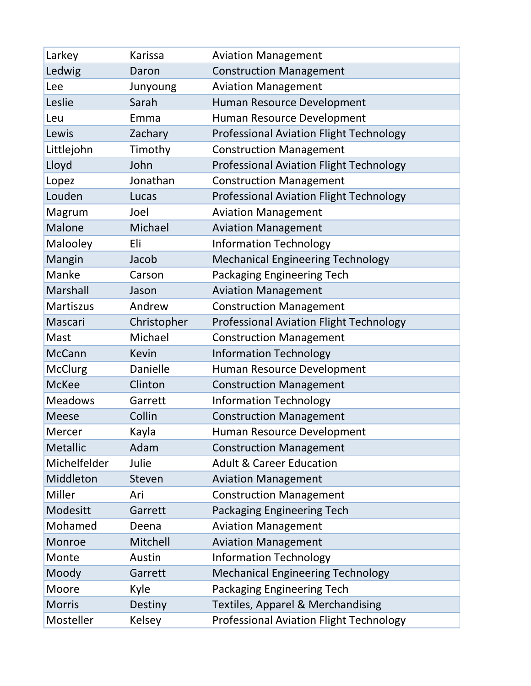| Larkey         | Karissa      | <b>Aviation Management</b>                     |
|----------------|--------------|------------------------------------------------|
| Ledwig         | Daron        | <b>Construction Management</b>                 |
| Lee            | Junyoung     | <b>Aviation Management</b>                     |
| Leslie         | Sarah        | Human Resource Development                     |
| Leu            | Emma         | Human Resource Development                     |
| Lewis          | Zachary      | <b>Professional Aviation Flight Technology</b> |
| Littlejohn     | Timothy      | <b>Construction Management</b>                 |
| Lloyd          | John         | <b>Professional Aviation Flight Technology</b> |
| Lopez          | Jonathan     | <b>Construction Management</b>                 |
| Louden         | Lucas        | Professional Aviation Flight Technology        |
| Magrum         | Joel         | <b>Aviation Management</b>                     |
| Malone         | Michael      | <b>Aviation Management</b>                     |
| Malooley       | Eli          | <b>Information Technology</b>                  |
| Mangin         | Jacob        | <b>Mechanical Engineering Technology</b>       |
| Manke          | Carson       | Packaging Engineering Tech                     |
| Marshall       | Jason        | <b>Aviation Management</b>                     |
| Martiszus      | Andrew       | <b>Construction Management</b>                 |
| Mascari        | Christopher  | <b>Professional Aviation Flight Technology</b> |
| Mast           | Michael      | <b>Construction Management</b>                 |
| <b>McCann</b>  | <b>Kevin</b> | <b>Information Technology</b>                  |
| <b>McClurg</b> | Danielle     | Human Resource Development                     |
| <b>McKee</b>   | Clinton      | <b>Construction Management</b>                 |
| <b>Meadows</b> | Garrett      | <b>Information Technology</b>                  |
| <b>Meese</b>   | Collin       | <b>Construction Management</b>                 |
| <b>Mercer</b>  | Kayla        | Human Resource Development                     |
| Metallic       | Adam         | <b>Construction Management</b>                 |
| Michelfelder   | Julie        | <b>Adult &amp; Career Education</b>            |
| Middleton      | Steven       | <b>Aviation Management</b>                     |
| Miller         | Ari          | <b>Construction Management</b>                 |
| Modesitt       | Garrett      | <b>Packaging Engineering Tech</b>              |
| Mohamed        | Deena        | <b>Aviation Management</b>                     |
| Monroe         | Mitchell     | <b>Aviation Management</b>                     |
| Monte          | Austin       | <b>Information Technology</b>                  |
| Moody          | Garrett      | <b>Mechanical Engineering Technology</b>       |
| Moore          | Kyle         | Packaging Engineering Tech                     |
| <b>Morris</b>  | Destiny      | <b>Textiles, Apparel &amp; Merchandising</b>   |
| Mosteller      | Kelsey       | <b>Professional Aviation Flight Technology</b> |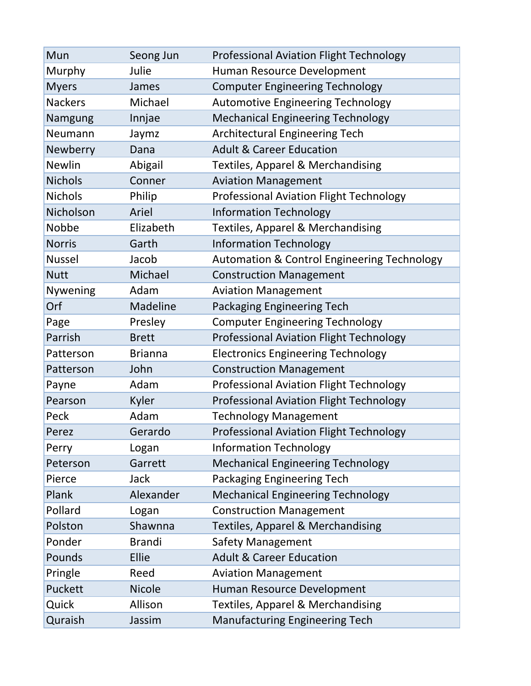| Mun            | Seong Jun      | <b>Professional Aviation Flight Technology</b>         |
|----------------|----------------|--------------------------------------------------------|
| Murphy         | Julie          | Human Resource Development                             |
| <b>Myers</b>   | James          | <b>Computer Engineering Technology</b>                 |
| <b>Nackers</b> | Michael        | <b>Automotive Engineering Technology</b>               |
| Namgung        | Innjae         | <b>Mechanical Engineering Technology</b>               |
| Neumann        | Jaymz          | <b>Architectural Engineering Tech</b>                  |
| Newberry       | Dana           | <b>Adult &amp; Career Education</b>                    |
| <b>Newlin</b>  | Abigail        | <b>Textiles, Apparel &amp; Merchandising</b>           |
| <b>Nichols</b> | Conner         | <b>Aviation Management</b>                             |
| <b>Nichols</b> | Philip         | <b>Professional Aviation Flight Technology</b>         |
| Nicholson      | Ariel          | <b>Information Technology</b>                          |
| Nobbe          | Elizabeth      | <b>Textiles, Apparel &amp; Merchandising</b>           |
| <b>Norris</b>  | Garth          | <b>Information Technology</b>                          |
| <b>Nussel</b>  | Jacob          | <b>Automation &amp; Control Engineering Technology</b> |
| <b>Nutt</b>    | Michael        | <b>Construction Management</b>                         |
| Nywening       | Adam           | <b>Aviation Management</b>                             |
| Orf            | Madeline       | Packaging Engineering Tech                             |
| Page           | Presley        | <b>Computer Engineering Technology</b>                 |
| Parrish        | <b>Brett</b>   | <b>Professional Aviation Flight Technology</b>         |
| Patterson      | <b>Brianna</b> | <b>Electronics Engineering Technology</b>              |
| Patterson      | John           | <b>Construction Management</b>                         |
| Payne          | Adam           | Professional Aviation Flight Technology                |
| Pearson        | Kyler          | <b>Professional Aviation Flight Technology</b>         |
| Peck           | Adam           | <b>Technology Management</b>                           |
| Perez          | Gerardo        | Professional Aviation Flight Technology                |
| Perry          | Logan          | <b>Information Technology</b>                          |
| Peterson       | Garrett        | <b>Mechanical Engineering Technology</b>               |
| Pierce         | Jack           | Packaging Engineering Tech                             |
| Plank          | Alexander      | <b>Mechanical Engineering Technology</b>               |
| Pollard        | Logan          | <b>Construction Management</b>                         |
| Polston        | Shawnna        | <b>Textiles, Apparel &amp; Merchandising</b>           |
| Ponder         | <b>Brandi</b>  | <b>Safety Management</b>                               |
| Pounds         | Ellie          | <b>Adult &amp; Career Education</b>                    |
| Pringle        | Reed           | <b>Aviation Management</b>                             |
| Puckett        | <b>Nicole</b>  | Human Resource Development                             |
| Quick          | Allison        | <b>Textiles, Apparel &amp; Merchandising</b>           |
| Quraish        | Jassim         | <b>Manufacturing Engineering Tech</b>                  |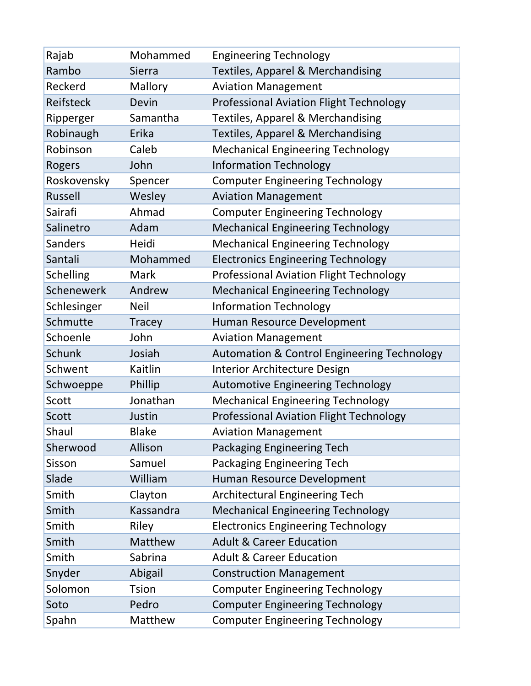| Rajab            | Mohammed      | <b>Engineering Technology</b>                          |
|------------------|---------------|--------------------------------------------------------|
| Rambo            | Sierra        | <b>Textiles, Apparel &amp; Merchandising</b>           |
| Reckerd          | Mallory       | <b>Aviation Management</b>                             |
| Reifsteck        | Devin         | <b>Professional Aviation Flight Technology</b>         |
| Ripperger        | Samantha      | <b>Textiles, Apparel &amp; Merchandising</b>           |
| Robinaugh        | Erika         | <b>Textiles, Apparel &amp; Merchandising</b>           |
| Robinson         | Caleb         | <b>Mechanical Engineering Technology</b>               |
| Rogers           | John          | <b>Information Technology</b>                          |
| Roskovensky      | Spencer       | <b>Computer Engineering Technology</b>                 |
| <b>Russell</b>   | Wesley        | <b>Aviation Management</b>                             |
| Sairafi          | Ahmad         | <b>Computer Engineering Technology</b>                 |
| Salinetro        | Adam          | <b>Mechanical Engineering Technology</b>               |
| <b>Sanders</b>   | Heidi         | <b>Mechanical Engineering Technology</b>               |
| Santali          | Mohammed      | <b>Electronics Engineering Technology</b>              |
| <b>Schelling</b> | Mark          | <b>Professional Aviation Flight Technology</b>         |
| Schenewerk       | Andrew        | <b>Mechanical Engineering Technology</b>               |
| Schlesinger      | <b>Neil</b>   | <b>Information Technology</b>                          |
| Schmutte         | <b>Tracey</b> | Human Resource Development                             |
| Schoenle         | John          | <b>Aviation Management</b>                             |
| Schunk           | Josiah        | <b>Automation &amp; Control Engineering Technology</b> |
| Schwent          | Kaitlin       | <b>Interior Architecture Design</b>                    |
| Schwoeppe        | Phillip       | <b>Automotive Engineering Technology</b>               |
| Scott            | Jonathan      | <b>Mechanical Engineering Technology</b>               |
| Scott            | Justin        | <b>Professional Aviation Flight Technology</b>         |
| Shaul            | <b>Blake</b>  | <b>Aviation Management</b>                             |
| Sherwood         | Allison       | Packaging Engineering Tech                             |
| Sisson           | Samuel        | Packaging Engineering Tech                             |
| Slade            | William       | Human Resource Development                             |
| Smith            | Clayton       | <b>Architectural Engineering Tech</b>                  |
| Smith            | Kassandra     | <b>Mechanical Engineering Technology</b>               |
| Smith            | Riley         | <b>Electronics Engineering Technology</b>              |
| Smith            | Matthew       | <b>Adult &amp; Career Education</b>                    |
| Smith            | Sabrina       | <b>Adult &amp; Career Education</b>                    |
| Snyder           | Abigail       | <b>Construction Management</b>                         |
| Solomon          | <b>Tsion</b>  | <b>Computer Engineering Technology</b>                 |
| Soto             | Pedro         | <b>Computer Engineering Technology</b>                 |
| Spahn            | Matthew       | <b>Computer Engineering Technology</b>                 |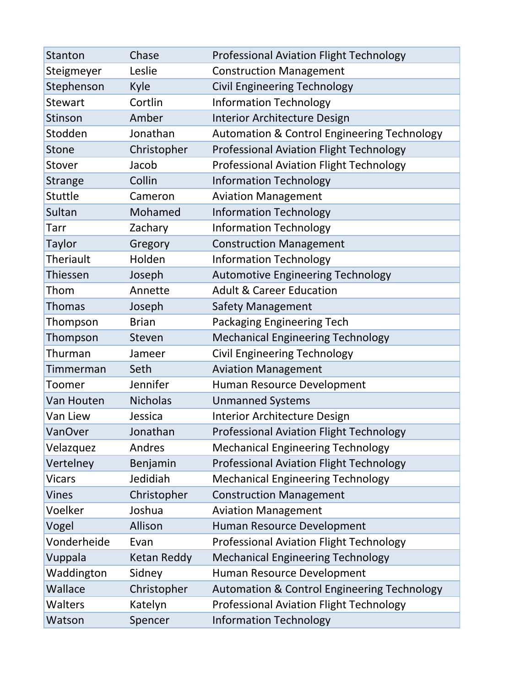| <b>Stanton</b>   | Chase              | <b>Professional Aviation Flight Technology</b>         |
|------------------|--------------------|--------------------------------------------------------|
| Steigmeyer       | Leslie             | <b>Construction Management</b>                         |
| Stephenson       | Kyle               | <b>Civil Engineering Technology</b>                    |
| <b>Stewart</b>   | Cortlin            | <b>Information Technology</b>                          |
| Stinson          | Amber              | <b>Interior Architecture Design</b>                    |
| Stodden          | Jonathan           | <b>Automation &amp; Control Engineering Technology</b> |
| Stone            | Christopher        | Professional Aviation Flight Technology                |
| Stover           | Jacob              | <b>Professional Aviation Flight Technology</b>         |
| <b>Strange</b>   | Collin             | <b>Information Technology</b>                          |
| Stuttle          | Cameron            | <b>Aviation Management</b>                             |
| Sultan           | Mohamed            | <b>Information Technology</b>                          |
| Tarr             | Zachary            | <b>Information Technology</b>                          |
| <b>Taylor</b>    | Gregory            | <b>Construction Management</b>                         |
| <b>Theriault</b> | Holden             | <b>Information Technology</b>                          |
| Thiessen         | Joseph             | <b>Automotive Engineering Technology</b>               |
| Thom             | Annette            | <b>Adult &amp; Career Education</b>                    |
| <b>Thomas</b>    | Joseph             | Safety Management                                      |
| Thompson         | <b>Brian</b>       | Packaging Engineering Tech                             |
| Thompson         | Steven             | <b>Mechanical Engineering Technology</b>               |
| Thurman          | Jameer             | <b>Civil Engineering Technology</b>                    |
| Timmerman        | Seth               | <b>Aviation Management</b>                             |
| Toomer           | Jennifer           | Human Resource Development                             |
| Van Houten       | <b>Nicholas</b>    | <b>Unmanned Systems</b>                                |
| Van Liew         | Jessica            | Interior Architecture Design                           |
| VanOver          | Jonathan           | <b>Professional Aviation Flight Technology</b>         |
| Velazquez        | Andres             | <b>Mechanical Engineering Technology</b>               |
| Vertelney        | Benjamin           | <b>Professional Aviation Flight Technology</b>         |
| <b>Vicars</b>    | Jedidiah           | <b>Mechanical Engineering Technology</b>               |
| <b>Vines</b>     | Christopher        | <b>Construction Management</b>                         |
| Voelker          | Joshua             | <b>Aviation Management</b>                             |
| Vogel            | Allison            | Human Resource Development                             |
| Vonderheide      | Evan               | <b>Professional Aviation Flight Technology</b>         |
| Vuppala          | <b>Ketan Reddy</b> | <b>Mechanical Engineering Technology</b>               |
| Waddington       | Sidney             | Human Resource Development                             |
| Wallace          | Christopher        | <b>Automation &amp; Control Engineering Technology</b> |
| <b>Walters</b>   | Katelyn            | <b>Professional Aviation Flight Technology</b>         |
| Watson           | Spencer            | <b>Information Technology</b>                          |